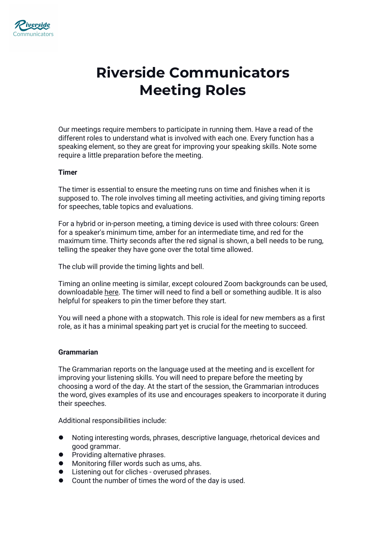

# **Riverside Communicators Meeting Roles**

Our meetings require members to participate in running them. Have a read of the different roles to understand what is involved with each one. Every function has a speaking element, so they are great for improving your speaking skills. Note some require a little preparation before the meeting.

#### **Timer**

The timer is essential to ensure the meeting runs on time and finishes when it is supposed to. The role involves timing all meeting activities, and giving timing reports for speeches, table topics and evaluations.

For a hybrid or in-person meeting, a timing device is used with three colours: Green for a speaker's minimum time, amber for an intermediate time, and red for the maximum time. Thirty seconds after the red signal is shown, a bell needs to be rung, telling the speaker they have gone over the total time allowed.

The club will provide the timing lights and bell.

Timing an online meeting is similar, except coloured Zoom backgrounds can be used, downloadable [here.](https://www.toastmasters.org/resources/timer-zoom-backgrounds) The timer will need to find a bell or something audible. It is also helpful for speakers to pin the timer before they start.

You will need a phone with a stopwatch. This role is ideal for new members as a first role, as it has a minimal speaking part yet is crucial for the meeting to succeed.

### **Grammarian**

The Grammarian reports on the language used at the meeting and is excellent for improving your listening skills. You will need to prepare before the meeting by choosing a word of the day. At the start of the session, the Grammarian introduces the word, gives examples of its use and encourages speakers to incorporate it during their speeches.

Additional responsibilities include:

- Noting interesting words, phrases, descriptive language, rhetorical devices and good grammar.
- Providing alternative phrases.
- $\bullet$  Monitoring filler words such as ums, ahs.
- Listening out for cliches overused phrases.
- Count the number of times the word of the day is used.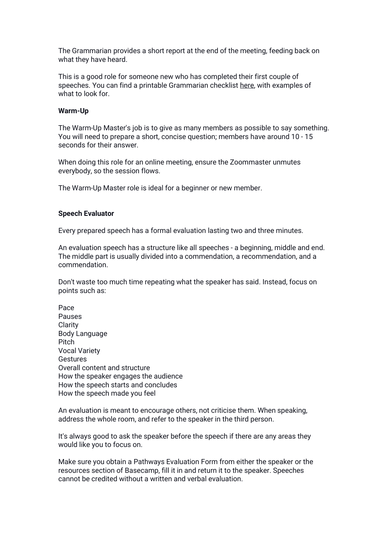The Grammarian provides a short report at the end of the meeting, feeding back on what they have heard.

This is a good role for someone new who has completed their first couple of speeches. You can find a printable Grammarian checklist [here,](https://www.riversidecommunicators.org/_files/ugd/a72885_b0192fa71cf044179e5b4af631346542.pdf) with examples of what to look for.

### **Warm-Up**

The Warm-Up Master's job is to give as many members as possible to saysomething. You will need to prepare a short, concise question; members have around 10 - 15 seconds for their answer.

When doing this role for an online meeting, ensure the Zoommaster unmutes everybody, so the session flows.

The Warm-Up Master role is ideal for a beginner or new member.

### **Speech Evaluator**

Every prepared speech has a formalevaluation lasting two and three minutes.

An evaluation speech has a structure like all speeches - a beginning, middle and end. The middle part is usually divided into a commendation, a recommendation, and a commendation.

Don't waste too much time repeating what the speaker has said. Instead, focus on points such as:

Pace Pauses Clarity Body Language Pitch Vocal Variety Gestures Overall content and structure How the speaker engages the audience How the speech starts and concludes How the speech made you feel

An evaluation is meant to encourage others, not criticise them. When speaking, address the whole room, and refer to the speaker in the third person.

It's always good to ask the speaker before the speech if there are any areas they would like you to focus on.<br>Make sure you obtain a Pathways Evaluation Form from either the speaker or the

resources section of Basecamp, fill it in and return it to the speaker. Speeches cannot be credited without a written and verbal evaluation.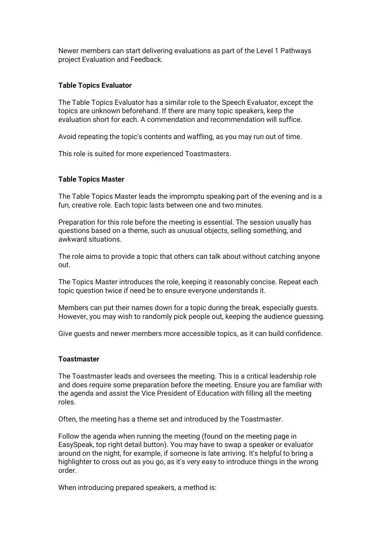Newer members can start delivering evaluations as part of the Level 1 Pathways project Evaluation and Feedback.

### **Table Topics Evaluator**

The Table Topics Evaluator has a similar role to the Speech Evaluator, except the topics are unknown beforehand. If there are many topic speakers, keep the evaluation short foreach. A commendation and recommendation will suffice.

Avoid repeating the topic's contents and waffling, as you may run out of time.

This role is suited for more experienced Toastmasters.

## **Table Topics Master**

The Table Topics Masterleads the impromptu speaking part of the evening and is a fun, creative role. Each topic lasts between one and two minutes.

Preparation for this role before the meeting is essential. The session usually has questions based on a theme, such as unusual objects, selling something, and awkward situations.

The role aims to provide a topic that others can talk about without catching anyone out.

The Topics Master introduces the role, keeping it reasonably concise. Repeat each topic question twice if need be to ensure everyone understands it.

Members can put their names down for a topic during the break, especially guests. However, you may wish to randomly pick people out, keeping the audience guessing.

Give guests and newer members more accessible topics, as it can build confidence.

#### **Toastmaster**

The Toastmaster leads and oversees the meeting. This is a critical leadership role and does require some preparation before the meeting. Ensure you are familiar with the agenda and assist the Vice President of Education with filling all the meeting roles.

Often, the meeting has a theme set and introduced by the Toastmaster.

Follow the agenda when running the meeting (found on the meeting page in EasySpeak, top right detail button). You may have to swap a speaker or evaluator around on the night, for example, if someone is late arriving. It's helpful to bring a highlighter to cross out as you go, as it's very easy to introduce things in the wrong order.

When introducing prepared speakers, a method is: